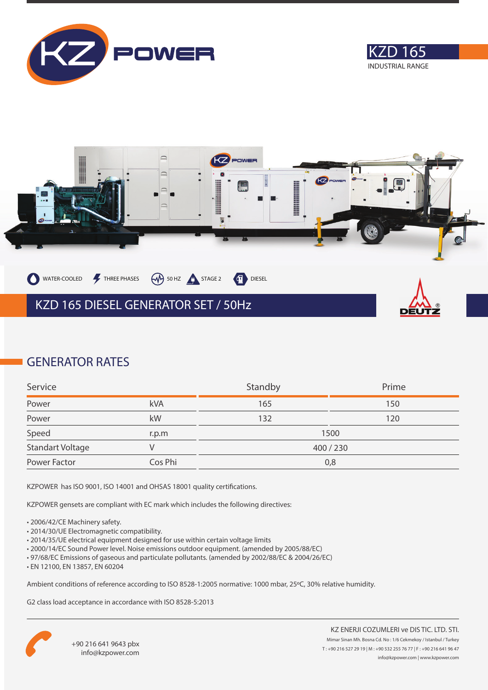





### **GENERATOR RATES**

| Service                 |         | Standby   | Prime |
|-------------------------|---------|-----------|-------|
| Power                   | kVA     | 165       | 150   |
| Power                   | kW      | 132       | 120   |
| Speed                   | r.p.m   |           | 1500  |
| <b>Standart Voltage</b> |         | 400 / 230 |       |
| Power Factor            | Cos Phi | 0,8       |       |

KZPOWER has ISO 9001, ISO 14001 and OHSAS 18001 quality certifications.

KZPOWER gensets are compliant with EC mark which includes the following directives:

- 2006/42/CE Machinery safety.
- 2014/30/UE Electromagnetic compatibility.
- 2014/35/UE electrical equipment designed for use within certain voltage limits
- 2000/14/EC Sound Power level. Noise emissions outdoor equipment. (amended by 2005/88/EC)
- 97/68/EC Emissions of gaseous and particulate pollutants. (amended by 2002/88/EC & 2004/26/EC)
- EN 12100, EN 13857, EN 60204

Ambient conditions of reference according to ISO 8528-1:2005 normative: 1000 mbar, 25ºC, 30% relative humidity.

G2 class load acceptance in accordance with ISO 8528-5:2013

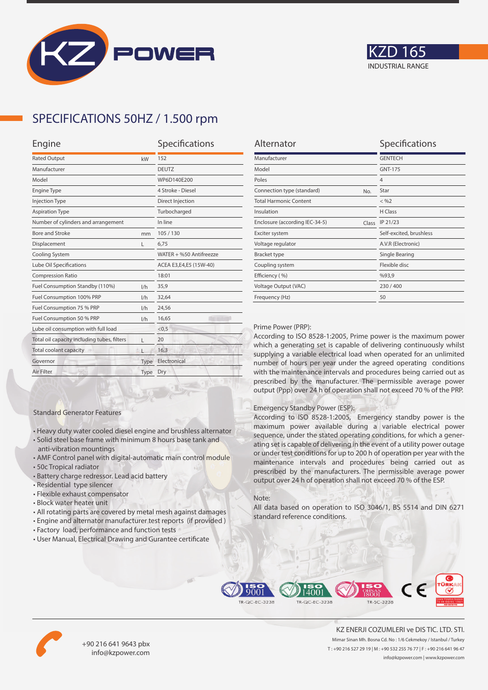



## **SPECIFICATIONS 50HZ / 1.500 rpm**

| Engine                                      | Specifications |                         |
|---------------------------------------------|----------------|-------------------------|
| <b>Rated Output</b><br>kW                   |                | 152                     |
| Manufacturer                                |                | <b>DEUTZ</b>            |
| Model                                       |                | WP6D140E200             |
| <b>Engine Type</b>                          |                | 4 Stroke - Diesel       |
| <b>Injection Type</b>                       |                | Direct Injection        |
| <b>Aspiration Type</b>                      |                | Turbocharged            |
| Number of cylinders and arrangement         |                | In line                 |
| Bore and Stroke                             | mm             | 105/130                 |
| Displacement                                | L              | 6,75                    |
| Cooling System                              |                | WATER + %50 Antifreezze |
| Lube Oil Specifications                     |                | ACEA E3,E4,E5 (15W-40)  |
| <b>Compression Ratio</b>                    |                | 18:01                   |
| Fuel Consumption Standby (110%)             | 1/h            | 35,9                    |
| Fuel Consumption 100% PRP                   | 1/h            | 32,64                   |
| Fuel Consumption 75 % PRP                   | 1/h            | 24,56                   |
| Fuel Consumption 50 % PRP<br>1/h            |                | 16,65                   |
| Lube oil consumption with full load         |                | < 0.5                   |
| Total oil capacity including tubes, filters | г              | 20                      |
| Total coolant capacity                      |                | 16,3                    |
| Governor                                    | Type           | Electronical            |
| Air Filter                                  | Type           | Dry                     |
|                                             |                |                         |

| Alternator                              | Specifications          |
|-----------------------------------------|-------------------------|
| Manufacturer                            | <b>GENTECH</b>          |
| Model                                   | <b>GNT-175</b>          |
| Poles                                   | $\overline{4}$          |
| Connection type (standard)<br>No.       | Star                    |
| <b>Total Harmonic Content</b>           | $<$ %2                  |
| Insulation                              | H Class                 |
| Enclosure (according IEC-34-5)<br>Class | IP 21/23                |
| Exciter system                          | Self-excited, brushless |
| Voltage regulator                       | A.V.R (Electronic)      |
| <b>Bracket type</b>                     | Single Bearing          |
| Coupling system                         | Flexible disc           |
| Efficiency (%)                          | %93,9                   |
| Voltage Output (VAC)                    | 230/400                 |
| Frequency (Hz)                          | 50                      |
|                                         |                         |

#### Prime Power (PRP):

According to ISO 8528-1:2005, Prime power is the maximum power which a generating set is capable of delivering continuously whilst supplying a variable electrical load when operated for an unlimited number of hours per year under the agreed operating conditions with the maintenance intervals and procedures being carried out as prescribed by the manufacturer. The permissible average power output (Ppp) over 24 h of operation shall not exceed 70 % of the PRP.

#### Emergency Standby Power (ESP):

According to ISO 8528-1:2005, Emergency standby power is the maximum power available during a variable electrical power sequence, under the stated operating conditions, for which a generating set is capable of delivering in the event of a utility power outage or under test conditions for up to 200 h of operation per year with the maintenance intervals and procedures being carried out as prescribed by the manufacturers. The permissible average power output over 24 h of operation shall not exceed 70 % of the ESP.

#### Note:

All data based on operation to ISO 3046/1, BS 5514 and DIN 6271 standard reference conditions.



• All rotating parts are covered by metal mesh against damages

• Heavy duty water cooled diesel engine and brushless alternator • Solid steel base frame with minimum 8 hours base tank and

• AMF Control panel with digital-automatic main control module

• User Manual, Electrical Drawing and Gurantee certificate

Standard Generator Features

anti-vibration mountings

• Residential type silencer • Flexible exhaust compensator • Block water heater unit

• Battery charge redressor. Lead acid battery

• 50c Tropical radiator





+90 216 641 9643 pbx info@kzpower.com

KZ ENERJI COZUMLERI ve DIS TIC. LTD. STI. Mimar Sinan Mh. Bosna Cd. No : 1/6 Cekmekoy / Istanbul / Turkey T : +90 216 527 29 19 | M : +90 532 255 76 77 | F : +90 216 641 96 47 info@kzpower.com | www.kzpower.com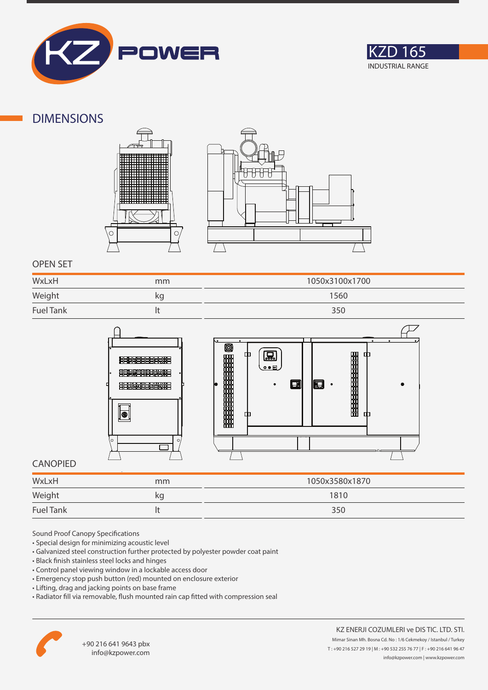



### **DIMENSIONS**





### **OPEN SET**

| WxLxH            | mm | 1050x3100x1700 |
|------------------|----|----------------|
| Weight           | ΚQ | 1560           |
| <b>Fuel Tank</b> |    | 350            |



### **CANOPIED**

| WxLxH            | mm | 1050x3580x1870 |
|------------------|----|----------------|
| Weight           | ĸg | 1810           |
| <b>Fuel Tank</b> |    | 350            |

Sound Proof Canopy Specifications

- Special design for minimizing acoustic level
- Galvanized steel construction further protected by polyester powder coat paint
- Black finish stainless steel locks and hinges
- Control panel viewing window in a lockable access door
- Emergency stop push button (red) mounted on enclosure exterior
- Lifting, drag and jacking points on base frame
- Radiator fill via removable, flush mounted rain cap fitted with compression seal